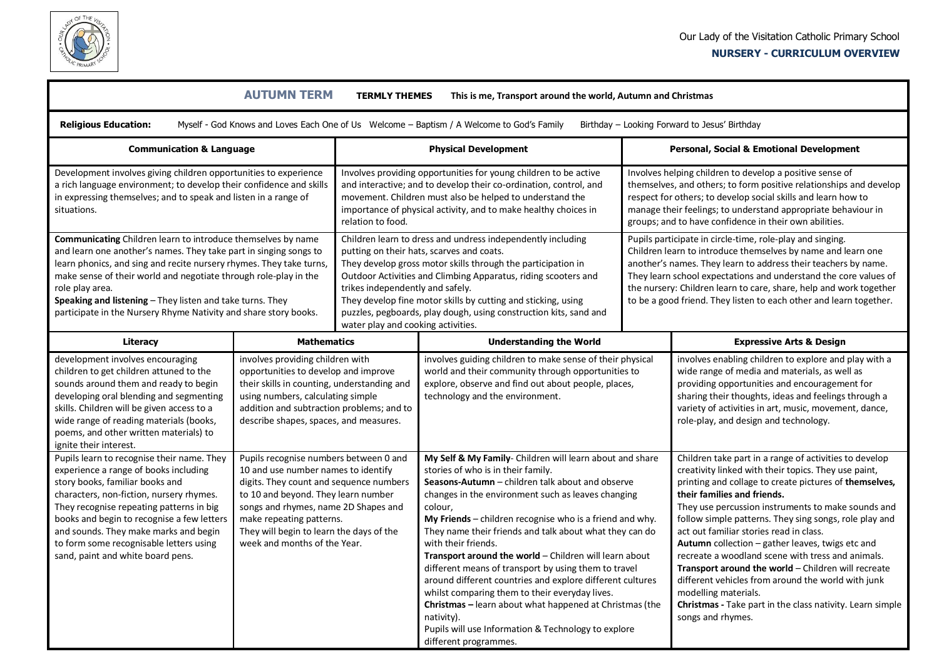

## **NURSERY - CURRICULUM OVERVIEW**

| <b>AUTUMN TERM</b><br><b>TERMLY THEMES</b><br>This is me, Transport around the world, Autumn and Christmas                                                                                                                                                                                                                                                                                                                       |                                                                                                                                                                                                                                                                                                                 |                                                                                                                                                                                                                                                                                                                                                                                                                                                            |                                                                                                                                                                                                                                                                                                                                                                                                                                                                                                                                                                                                                                                                                                                                                               |  |                                                                                                                                                                                                                                                                                                                                                                                                                                                                                                                                                                                                                                                                                                    |  |  |  |  |
|----------------------------------------------------------------------------------------------------------------------------------------------------------------------------------------------------------------------------------------------------------------------------------------------------------------------------------------------------------------------------------------------------------------------------------|-----------------------------------------------------------------------------------------------------------------------------------------------------------------------------------------------------------------------------------------------------------------------------------------------------------------|------------------------------------------------------------------------------------------------------------------------------------------------------------------------------------------------------------------------------------------------------------------------------------------------------------------------------------------------------------------------------------------------------------------------------------------------------------|---------------------------------------------------------------------------------------------------------------------------------------------------------------------------------------------------------------------------------------------------------------------------------------------------------------------------------------------------------------------------------------------------------------------------------------------------------------------------------------------------------------------------------------------------------------------------------------------------------------------------------------------------------------------------------------------------------------------------------------------------------------|--|----------------------------------------------------------------------------------------------------------------------------------------------------------------------------------------------------------------------------------------------------------------------------------------------------------------------------------------------------------------------------------------------------------------------------------------------------------------------------------------------------------------------------------------------------------------------------------------------------------------------------------------------------------------------------------------------------|--|--|--|--|
| <b>Religious Education:</b><br>Myself - God Knows and Loves Each One of Us Welcome - Baptism / A Welcome to God's Family<br>Birthday - Looking Forward to Jesus' Birthday                                                                                                                                                                                                                                                        |                                                                                                                                                                                                                                                                                                                 |                                                                                                                                                                                                                                                                                                                                                                                                                                                            |                                                                                                                                                                                                                                                                                                                                                                                                                                                                                                                                                                                                                                                                                                                                                               |  |                                                                                                                                                                                                                                                                                                                                                                                                                                                                                                                                                                                                                                                                                                    |  |  |  |  |
| <b>Communication &amp; Language</b>                                                                                                                                                                                                                                                                                                                                                                                              |                                                                                                                                                                                                                                                                                                                 | <b>Physical Development</b>                                                                                                                                                                                                                                                                                                                                                                                                                                |                                                                                                                                                                                                                                                                                                                                                                                                                                                                                                                                                                                                                                                                                                                                                               |  | <b>Personal, Social &amp; Emotional Development</b>                                                                                                                                                                                                                                                                                                                                                                                                                                                                                                                                                                                                                                                |  |  |  |  |
| Development involves giving children opportunities to experience<br>a rich language environment; to develop their confidence and skills<br>in expressing themselves; and to speak and listen in a range of<br>situations.                                                                                                                                                                                                        |                                                                                                                                                                                                                                                                                                                 | Involves providing opportunities for young children to be active<br>and interactive; and to develop their co-ordination, control, and<br>movement. Children must also be helped to understand the<br>importance of physical activity, and to make healthy choices in<br>relation to food.                                                                                                                                                                  |                                                                                                                                                                                                                                                                                                                                                                                                                                                                                                                                                                                                                                                                                                                                                               |  | Involves helping children to develop a positive sense of<br>themselves, and others; to form positive relationships and develop<br>respect for others; to develop social skills and learn how to<br>manage their feelings; to understand appropriate behaviour in<br>groups; and to have confidence in their own abilities.                                                                                                                                                                                                                                                                                                                                                                         |  |  |  |  |
| Communicating Children learn to introduce themselves by name<br>and learn one another's names. They take part in singing songs to<br>learn phonics, and sing and recite nursery rhymes. They take turns,<br>make sense of their world and negotiate through role-play in the<br>role play area.<br>Speaking and listening - They listen and take turns. They<br>participate in the Nursery Rhyme Nativity and share story books. |                                                                                                                                                                                                                                                                                                                 | Children learn to dress and undress independently including<br>putting on their hats, scarves and coats.<br>They develop gross motor skills through the participation in<br>Outdoor Activities and Climbing Apparatus, riding scooters and<br>trikes independently and safely.<br>They develop fine motor skills by cutting and sticking, using<br>puzzles, pegboards, play dough, using construction kits, sand and<br>water play and cooking activities. |                                                                                                                                                                                                                                                                                                                                                                                                                                                                                                                                                                                                                                                                                                                                                               |  | Pupils participate in circle-time, role-play and singing.<br>Children learn to introduce themselves by name and learn one<br>another's names. They learn to address their teachers by name.<br>They learn school expectations and understand the core values of<br>the nursery: Children learn to care, share, help and work together<br>to be a good friend. They listen to each other and learn together.                                                                                                                                                                                                                                                                                        |  |  |  |  |
| Literacy                                                                                                                                                                                                                                                                                                                                                                                                                         | <b>Mathematics</b>                                                                                                                                                                                                                                                                                              |                                                                                                                                                                                                                                                                                                                                                                                                                                                            | <b>Understanding the World</b>                                                                                                                                                                                                                                                                                                                                                                                                                                                                                                                                                                                                                                                                                                                                |  | <b>Expressive Arts &amp; Design</b>                                                                                                                                                                                                                                                                                                                                                                                                                                                                                                                                                                                                                                                                |  |  |  |  |
| development involves encouraging<br>children to get children attuned to the<br>sounds around them and ready to begin<br>developing oral blending and segmenting<br>skills. Children will be given access to a<br>wide range of reading materials (books,<br>poems, and other written materials) to<br>ignite their interest.                                                                                                     | involves providing children with<br>opportunities to develop and improve<br>their skills in counting, understanding and<br>using numbers, calculating simple<br>addition and subtraction problems; and to<br>describe shapes, spaces, and measures.                                                             |                                                                                                                                                                                                                                                                                                                                                                                                                                                            | involves guiding children to make sense of their physical<br>world and their community through opportunities to<br>explore, observe and find out about people, places,<br>technology and the environment.                                                                                                                                                                                                                                                                                                                                                                                                                                                                                                                                                     |  | involves enabling children to explore and play with a<br>wide range of media and materials, as well as<br>providing opportunities and encouragement for<br>sharing their thoughts, ideas and feelings through a<br>variety of activities in art, music, movement, dance,<br>role-play, and design and technology.                                                                                                                                                                                                                                                                                                                                                                                  |  |  |  |  |
| Pupils learn to recognise their name. They<br>experience a range of books including<br>story books, familiar books and<br>characters, non-fiction, nursery rhymes.<br>They recognise repeating patterns in big<br>books and begin to recognise a few letters<br>and sounds. They make marks and begin<br>to form some recognisable letters using<br>sand, paint and white board pens.                                            | Pupils recognise numbers between 0 and<br>10 and use number names to identify<br>digits. They count and sequence numbers<br>to 10 and beyond. They learn number<br>songs and rhymes, name 2D Shapes and<br>make repeating patterns.<br>They will begin to learn the days of the<br>week and months of the Year. |                                                                                                                                                                                                                                                                                                                                                                                                                                                            | My Self & My Family- Children will learn about and share<br>stories of who is in their family.<br>Seasons-Autumn - children talk about and observe<br>changes in the environment such as leaves changing<br>colour,<br>My Friends $-$ children recognise who is a friend and why.<br>They name their friends and talk about what they can do<br>with their friends.<br>Transport around the world - Children will learn about<br>different means of transport by using them to travel<br>around different countries and explore different cultures<br>whilst comparing them to their everyday lives.<br>Christmas - learn about what happened at Christmas (the<br>nativity).<br>Pupils will use Information & Technology to explore<br>different programmes. |  | Children take part in a range of activities to develop<br>creativity linked with their topics. They use paint,<br>printing and collage to create pictures of themselves,<br>their families and friends.<br>They use percussion instruments to make sounds and<br>follow simple patterns. They sing songs, role play and<br>act out familiar stories read in class.<br>Autumn collection - gather leaves, twigs etc and<br>recreate a woodland scene with tress and animals.<br>Transport around the world - Children will recreate<br>different vehicles from around the world with junk<br>modelling materials.<br>Christmas - Take part in the class nativity. Learn simple<br>songs and rhymes. |  |  |  |  |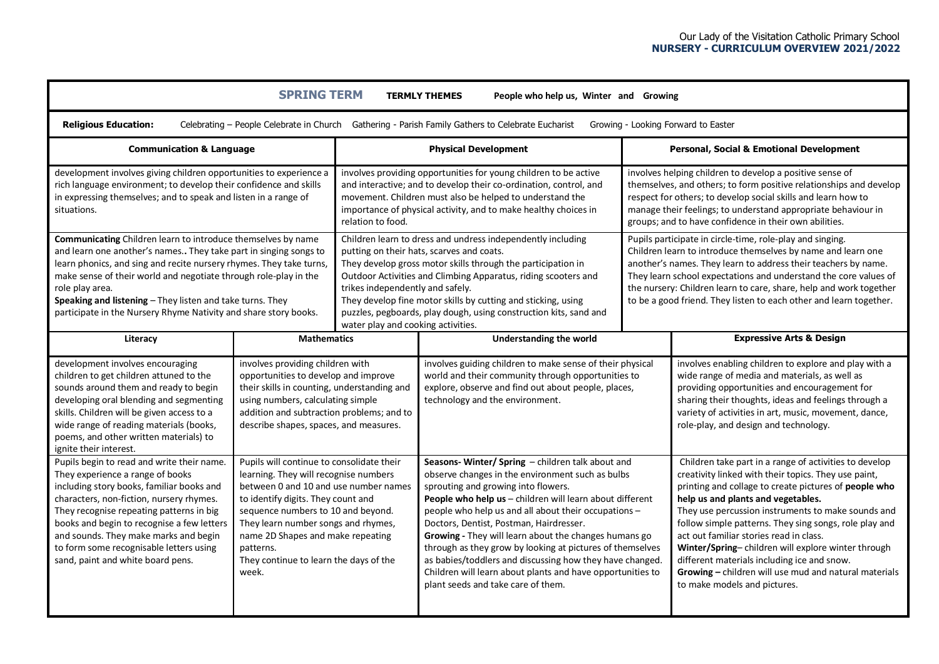**SPRING TERM TERMLY THEMES People who help us, Winter and Growing**

 **Religious Education:** Celebrating – People Celebrate in ChurchGathering - Parish Family Gathers to Celebrate EucharistGrowing - Looking Forward to Easter

| <b>Communication &amp; Language</b>                                                                                                                                                                                                                                                                                                                                                                                                    |                                                                                                                                                                                                                                                                                                                                                     | <b>Physical Development</b>                                                                                                                                                                                                                                                                                                                                                                                                                                |                                                                                                                                                                                                                                                                                                                                                                                                                                                                                                                                                                                                   |                                                                                                                                                                                                                                                                                                                                                                                                             | <b>Personal, Social &amp; Emotional Development</b>                                                                                                                                                                                                                                                                                                                                                                                                                                                                                                                    |  |
|----------------------------------------------------------------------------------------------------------------------------------------------------------------------------------------------------------------------------------------------------------------------------------------------------------------------------------------------------------------------------------------------------------------------------------------|-----------------------------------------------------------------------------------------------------------------------------------------------------------------------------------------------------------------------------------------------------------------------------------------------------------------------------------------------------|------------------------------------------------------------------------------------------------------------------------------------------------------------------------------------------------------------------------------------------------------------------------------------------------------------------------------------------------------------------------------------------------------------------------------------------------------------|---------------------------------------------------------------------------------------------------------------------------------------------------------------------------------------------------------------------------------------------------------------------------------------------------------------------------------------------------------------------------------------------------------------------------------------------------------------------------------------------------------------------------------------------------------------------------------------------------|-------------------------------------------------------------------------------------------------------------------------------------------------------------------------------------------------------------------------------------------------------------------------------------------------------------------------------------------------------------------------------------------------------------|------------------------------------------------------------------------------------------------------------------------------------------------------------------------------------------------------------------------------------------------------------------------------------------------------------------------------------------------------------------------------------------------------------------------------------------------------------------------------------------------------------------------------------------------------------------------|--|
| development involves giving children opportunities to experience a<br>rich language environment; to develop their confidence and skills<br>in expressing themselves; and to speak and listen in a range of<br>situations.                                                                                                                                                                                                              |                                                                                                                                                                                                                                                                                                                                                     | involves providing opportunities for young children to be active<br>and interactive; and to develop their co-ordination, control, and<br>movement. Children must also be helped to understand the<br>importance of physical activity, and to make healthy choices in<br>relation to food.                                                                                                                                                                  |                                                                                                                                                                                                                                                                                                                                                                                                                                                                                                                                                                                                   | involves helping children to develop a positive sense of<br>themselves, and others; to form positive relationships and develop<br>respect for others; to develop social skills and learn how to<br>manage their feelings; to understand appropriate behaviour in<br>groups; and to have confidence in their own abilities.                                                                                  |                                                                                                                                                                                                                                                                                                                                                                                                                                                                                                                                                                        |  |
| <b>Communicating</b> Children learn to introduce themselves by name<br>and learn one another's names They take part in singing songs to<br>learn phonics, and sing and recite nursery rhymes. They take turns,<br>make sense of their world and negotiate through role-play in the<br>role play area.<br>Speaking and listening - They listen and take turns. They<br>participate in the Nursery Rhyme Nativity and share story books. |                                                                                                                                                                                                                                                                                                                                                     | Children learn to dress and undress independently including<br>putting on their hats, scarves and coats.<br>They develop gross motor skills through the participation in<br>Outdoor Activities and Climbing Apparatus, riding scooters and<br>trikes independently and safely.<br>They develop fine motor skills by cutting and sticking, using<br>puzzles, pegboards, play dough, using construction kits, sand and<br>water play and cooking activities. |                                                                                                                                                                                                                                                                                                                                                                                                                                                                                                                                                                                                   | Pupils participate in circle-time, role-play and singing.<br>Children learn to introduce themselves by name and learn one<br>another's names. They learn to address their teachers by name.<br>They learn school expectations and understand the core values of<br>the nursery: Children learn to care, share, help and work together<br>to be a good friend. They listen to each other and learn together. |                                                                                                                                                                                                                                                                                                                                                                                                                                                                                                                                                                        |  |
| Literacy                                                                                                                                                                                                                                                                                                                                                                                                                               | <b>Mathematics</b>                                                                                                                                                                                                                                                                                                                                  |                                                                                                                                                                                                                                                                                                                                                                                                                                                            | <b>Understanding the world</b>                                                                                                                                                                                                                                                                                                                                                                                                                                                                                                                                                                    |                                                                                                                                                                                                                                                                                                                                                                                                             | <b>Expressive Arts &amp; Design</b>                                                                                                                                                                                                                                                                                                                                                                                                                                                                                                                                    |  |
| development involves encouraging<br>children to get children attuned to the<br>sounds around them and ready to begin<br>developing oral blending and segmenting<br>skills. Children will be given access to a<br>wide range of reading materials (books,<br>poems, and other written materials) to<br>ignite their interest.                                                                                                           | involves providing children with<br>opportunities to develop and improve<br>their skills in counting, understanding and<br>using numbers, calculating simple<br>addition and subtraction problems; and to<br>describe shapes, spaces, and measures.                                                                                                 |                                                                                                                                                                                                                                                                                                                                                                                                                                                            | involves guiding children to make sense of their physical<br>world and their community through opportunities to<br>explore, observe and find out about people, places,<br>technology and the environment.                                                                                                                                                                                                                                                                                                                                                                                         |                                                                                                                                                                                                                                                                                                                                                                                                             | involves enabling children to explore and play with a<br>wide range of media and materials, as well as<br>providing opportunities and encouragement for<br>sharing their thoughts, ideas and feelings through a<br>variety of activities in art, music, movement, dance,<br>role-play, and design and technology.                                                                                                                                                                                                                                                      |  |
| Pupils begin to read and write their name.<br>They experience a range of books<br>including story books, familiar books and<br>characters, non-fiction, nursery rhymes.<br>They recognise repeating patterns in big<br>books and begin to recognise a few letters<br>and sounds. They make marks and begin<br>to form some recognisable letters using<br>sand, paint and white board pens.                                             | Pupils will continue to consolidate their<br>learning. They will recognise numbers<br>between 0 and 10 and use number names<br>to identify digits. They count and<br>sequence numbers to 10 and beyond.<br>They learn number songs and rhymes,<br>name 2D Shapes and make repeating<br>patterns.<br>They continue to learn the days of the<br>week. |                                                                                                                                                                                                                                                                                                                                                                                                                                                            | Seasons- Winter/ Spring - children talk about and<br>observe changes in the environment such as bulbs<br>sprouting and growing into flowers.<br>People who help us - children will learn about different<br>people who help us and all about their occupations -<br>Doctors, Dentist, Postman, Hairdresser.<br>Growing - They will learn about the changes humans go<br>through as they grow by looking at pictures of themselves<br>as babies/toddlers and discussing how they have changed.<br>Children will learn about plants and have opportunities to<br>plant seeds and take care of them. |                                                                                                                                                                                                                                                                                                                                                                                                             | Children take part in a range of activities to develop<br>creativity linked with their topics. They use paint,<br>printing and collage to create pictures of people who<br>help us and plants and vegetables.<br>They use percussion instruments to make sounds and<br>follow simple patterns. They sing songs, role play and<br>act out familiar stories read in class.<br>Winter/Spring-children will explore winter through<br>different materials including ice and snow.<br>Growing - children will use mud and natural materials<br>to make models and pictures. |  |